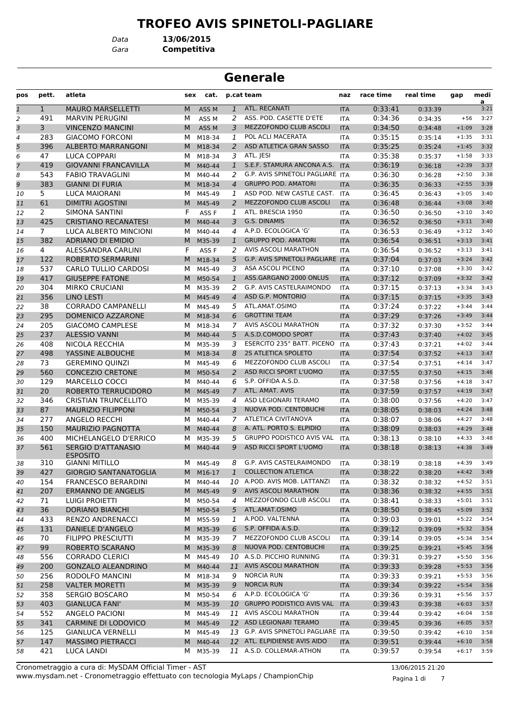#### **TROFEO AVIS SPINETOLI-PAGLIARE**

*Gara* **Competitiva** *Data* **13/06/2015**

#### **Generale**

| pos            | pett.        | atleta                                       | sex | cat.             |                | p.cat team                                                   | naz        | race time | real time | gap                | medi<br>a    |
|----------------|--------------|----------------------------------------------|-----|------------------|----------------|--------------------------------------------------------------|------------|-----------|-----------|--------------------|--------------|
| $\mathbf{1}$   | $\mathbf{1}$ | <b>MAURO MARSELLETTI</b>                     | M   | ASS <sub>M</sub> | $\mathbf{1}$   | ATL. RECANATI                                                | <b>ITA</b> | 0:33:41   | 0:33:39   |                    | 3:21         |
| 2              | 491          | <b>MARVIN PERUGINI</b>                       | М   | ASS <sub>M</sub> | 2              | ASS. POD. CASETTE D'ETE                                      | <b>ITA</b> | 0:34:36   | 0:34:35   | $+56$              | 3:27         |
| 3              | 3            | <b>VINCENZO MANCINI</b>                      | M   | ASS <sub>M</sub> | 3              | MEZZOFONDO CLUB ASCOLI                                       | <b>ITA</b> | 0:34:50   | 0:34:48   | $+1:09$            | 3:28         |
| $\overline{4}$ | 283          | <b>GIACOMO FORCONI</b>                       | м   | M18-34           | 1              | POL ACLI MACERATA                                            | <b>ITA</b> | 0:35:15   | 0:35:14   | $+1:35$            | 3:31         |
| 5              | 396          | <b>ALBERTO MARRANGONI</b>                    | M   | M18-34           | 2              | ASD ATLETICA GRAN SASSO                                      | <b>ITA</b> | 0:35:25   | 0:35:24   | $+1:45$            | 3:32         |
| 6              | 47           | <b>LUCA COPPARI</b>                          | м   | M18-34           | 3              | ATL. JESI                                                    | <b>ITA</b> | 0:35:38   | 0:35:37   | $+1:58$            | 3:33         |
| $\overline{7}$ | 419          | <b>GIOVANNI FRANCAVILLA</b>                  | M   | M40-44           | $\mathbf{1}$   | S.E.F. STAMURA ANCONA A.S.                                   | <b>ITA</b> | 0:36:19   | 0:36:18   | $+2:39$            | 3:37         |
| 8              | 543          | <b>FABIO TRAVAGLINI</b>                      | м   | M40-44           | 2              | G.P. AVIS SPINETOLI PAGLIARE ITA                             |            | 0:36:30   | 0:36:28   | $+2:50$            | 3:38         |
| 9              | 383          | <b>GIANNI DI FURIA</b>                       | M   | M18-34           | $\overline{4}$ | <b>GRUPPO POD. AMATORI</b>                                   | <b>ITA</b> | 0:36:35   | 0:36:33   | $+2:55$            | 3:39         |
| 10             | 5.           | LUCA MAIORANI                                | м   | M45-49           | 1              | ASD POD. NEW CASTLE CAST.                                    | <b>ITA</b> | 0:36:45   | 0:36:43   | $+3:05$            | 3:40         |
| 11             | 61           | DIMITRI AGOSTINI                             | M   | M45-49           | 2              | <b>MEZZOFONDO CLUB ASCOLI</b>                                | <b>ITA</b> | 0:36:48   | 0:36:44   | $+3:08$            | 3:40         |
| 12             | 2            | SIMONA SANTINI                               | F   | ASS <sub>F</sub> | 1              | ATL. BRESCIA 1950                                            | <b>ITA</b> | 0:36:50   | 0:36:50   | $+3:10$            | 3:40         |
| 13             | 425          | <b>CRISTIANO RECANATESI</b>                  | M   | M40-44           | 3              | G.S. DINAMIS                                                 | <b>ITA</b> | 0:36:52   | 0:36:50   | $+3:11$            | 3:40         |
| 14             | 7            | LUCA ALBERTO MINCIONI                        | м   | M40-44           | 4              | A.P.D. ECOLOGICA 'G'                                         | <b>ITA</b> | 0:36:53   | 0:36:49   | $+3:12$            | 3:40         |
| 15             | 382          | <b>ADRIANO DI EMIDIO</b>                     | м   | M35-39           | $\mathbf{1}$   | <b>GRUPPO POD. AMATORI</b>                                   | <b>ITA</b> | 0:36:54   | 0:36:51   | $+3:13$            | 3:41         |
| 16             | 4            | ALESSANDRA CARLINI                           | F   | ASS <sub>F</sub> | 2              | AVIS ASCOLI MARATHON                                         | <b>ITA</b> | 0:36:54   | 0:36:52   | $+3:13$            | 3:41         |
| 17             | 122          | <b>ROBERTO SERMARINI</b>                     | M   | M18-34           | 5              | G.P. AVIS SPINETOLI PAGLIARE ITA                             |            | 0:37:04   | 0:37:03   | $+3:24$            | 3:42         |
| 18             | 537          | <b>CARLO TULLIO CARDOSI</b>                  | м   | M45-49           | 3              | ASA ASCOLI PICENO                                            | <b>ITA</b> | 0:37:10   | 0:37:08   | $+3:30$            | 3:42         |
| 19             | 417          | <b>GIUSEPPE FATONE</b>                       | M   | M50-54           | $\mathbf{1}$   | ASS.GARGANO 2000 ONLUS                                       | <b>ITA</b> | 0:37:12   | 0:37:09   | $+3:32$            | 3:42         |
| 20             | 304          | <b>MIRKO CRUCIANI</b>                        | м   | M35-39           | 2              | G.P. AVIS CASTELRAIMONDO                                     | <b>ITA</b> | 0:37:15   | 0:37:13   | $+3:34$            | 3:43         |
| 21             | 356          | <b>LINO LESTI</b>                            | M   | M45-49           | $\overline{4}$ | ASD G.P. MONTORIO                                            | <b>ITA</b> | 0:37:15   | 0:37:15   | $+3:35$            | 3:43         |
| 22             | 38           | <b>CORRADO CAMPANELLI</b>                    | м   | M45-49           | 5              | ATL.AMAT.OSIMO                                               | <b>ITA</b> | 0:37:24   | 0:37:22   | $+3:44$            | 3:44         |
| 23             | 295          | DOMENICO AZZARONE                            | M   | M18-34           | 6              | <b>GROTTINI TEAM</b>                                         | <b>ITA</b> | 0:37:29   | 0:37:26   | $+3:49$            | 3:44         |
| 24             | 205          | <b>GIACOMO CAMPLESE</b>                      | м   | M18-34           | 7              | <b>AVIS ASCOLI MARATHON</b>                                  | <b>ITA</b> | 0:37:32   | 0:37:30   | $+3:52$            | 3:44         |
| 25             | 237          | <b>ALESSIO VANNI</b>                         | M   | M40-44           | 5              | A.S.D.COMODO SPORT                                           | <b>ITA</b> | 0:37:43   | 0:37:40   | $+4:02$            | 3:45         |
| 26             | 408          | NICOLA RECCHIA                               | м   | M35-39           | 3              | ESERCITO 235° BATT. PICENO                                   | <b>ITA</b> | 0:37:43   | 0:37:21   | $+4:02$            | 3:44         |
| 27             | 498          | YASSINE ALBOUCHE                             | M   | M18-34           | 8              | 2S ATLETICA SPOLETO                                          | <b>ITA</b> | 0:37:54   | 0:37:52   | $+4:13$            | 3:47         |
| 28             | 73           | <b>GEREMINO QUINZI</b>                       | м   | M45-49           | 6              | MEZZOFONDO CLUB ASCOLI                                       | <b>ITA</b> | 0:37:54   | 0:37:51   | $+4:14$            | 3:47         |
| 29             | 560          | <b>CONCEZIO CRETONE</b>                      | M   | M50-54           | 2              | ASD RICCI SPORT L'UOMO                                       | <b>ITA</b> | 0:37:55   | 0:37:50   | $+4:15$            | 3:46         |
| 30             | 129          | MARCELLO COCCI                               | м   | M40-44           | 6              | S.P. OFFIDA A.S.D.                                           | <b>ITA</b> | 0:37:58   | 0:37:56   | $+4:18$            | 3:47         |
|                | 20           | ROBERTO TERRUCIDORO                          | M   | M45-49           | 7              | ATL. AMAT. AVIS                                              | <b>ITA</b> | 0:37:59   | 0:37:57   | $+4:19$            | 3:47         |
| 31             | 346          | <b>CRISTIAN TRUNCELLITO</b>                  |     |                  | 4              | ASD LEGIONARI TERAMO                                         |            | 0:38:00   |           | $+4:20$            | 3:47         |
| 32             |              |                                              | м   | M35-39           |                | NUOVA POD. CENTOBUCHI                                        | <b>ITA</b> |           | 0:37:56   |                    | 3:48         |
| 33             | 87           | <b>MAURIZIO FILIPPONI</b>                    | M   | M50-54           | 3              |                                                              | <b>ITA</b> | 0:38:05   | 0:38:03   | $+4:24$            |              |
| 34             | 277          | <b>ANGELO RECCHI</b>                         | м   | M40-44           | 7              | ATLETICA CIVITANOVA                                          | <b>ITA</b> | 0:38:07   | 0:38:06   | $+4:27$            | 3:48         |
| 35             | 150          | <b>MAURIZIO PAGNOTTA</b>                     | M   | M40-44           | 8              | A. ATL. PORTO S. ELPIDIO<br><b>GRUPPO PODISTICO AVIS VAL</b> | <b>ITA</b> | 0:38:09   | 0:38:03   | $+4:29$            | 3:48         |
| 36             | 400          | MICHELANGELO D'ERRICO                        | м   | M35-39           | 5              |                                                              | <b>ITA</b> | 0:38:13   | 0:38:10   | $+4:33$            | 3:48         |
| 37             | 561          | <b>SERGIO D'ATTANASIO</b><br><b>ESPOSITO</b> | M   | M40-44           | 9              | ASD RICCI SPORT L'UOMO                                       | <b>ITA</b> | 0:38:18   | 0:38:13   | $+4:38$            | 3:49         |
| 38             | 310          | <b>GIANNI MITILLO</b>                        |     | M M45-49         | 8              | G.P. AVIS CASTELRAIMONDO                                     | <b>ITA</b> | 0:38:19   | 0:38:18   | $+4:39$            | 3:49         |
| 39             | 427          | <b>GIORGIO SANTANATOGLIA</b>                 | M   | M16-17           |                | <b>COLLECTION ATLETICA</b>                                   | <b>ITA</b> | 0:38:22   | 0:38:20   | $+4:42$            | 3:49         |
| 40             | 154          | <b>FRANCESCO BERARDINI</b>                   | М   | M40-44           | 10             | A.POD. AVIS MOB. LATTANZI                                    | ITA        | 0:38:32   | 0:38:32   | $+4:52$            | 3:51         |
| 41             | 207          | <b>ERMANNO DE ANGELIS</b>                    | M   | M45-49           | 9              | <b>AVIS ASCOLI MARATHON</b>                                  | <b>ITA</b> | 0:38:36   | 0:38:32   | $+4:55$            | 3:51         |
| 42             | 71           | LUIGI PROIETTI                               | м   | M50-54           | 4              | MEZZOFONDO CLUB ASCOLI                                       | ITA        | 0:38:41   | 0:38:33   | $+5:01$            | 3:51         |
| 43             | 36           | <b>DORIANO BIANCHI</b>                       | M   | M50-54           | 5              | ATL.AMAT.OSIMO                                               | <b>ITA</b> | 0:38:50   | 0:38:45   | $+5:09$            | 3:52         |
| 44             | 433          | RENZO ANDRENACCI                             | M   | M55-59           | 1              | A.POD. VALTENNA                                              | ITA        | 0:39:03   | 0:39:01   | $+5:22$            | 3:54         |
| 45             | 131          | <b>DANIELE D'ANGELO</b>                      |     | M M35-39         | 6              | S.P. OFFIDA A.S.D.                                           | <b>ITA</b> | 0:39:12   | 0:39:09   | $+5:32$            | 3:54         |
| 46             | 70           | <b>FILIPPO PRESCIUTTI</b>                    | M   | M35-39           | $\mathcal{I}$  | MEZZOFONDO CLUB ASCOLI                                       | ITA        | 0:39:14   | 0:39:05   | $+5:34$            | 3:54         |
|                | 99           | ROBERTO SCARANO                              |     | M M35-39         | 8              | NUOVA POD. CENTOBUCHI                                        | <b>ITA</b> | 0:39:25   |           | $+5:45$            | 3:56         |
| 47             | 556          | <b>CORRADO CLERICI</b>                       | м   | M45-49           | 10             | A.S.D. PICCHIO RUNNING                                       |            | 0:39:31   | 0:39:21   | $+5:50$            | 3:56         |
| 48             | 200          | <b>GONZALO ALEANDRINO</b>                    |     | M40-44           | 11             | <b>AVIS ASCOLI MARATHON</b>                                  | ITA        | 0:39:33   | 0:39:27   | $+5:53$            | 3:56         |
| 49             |              |                                              | M   |                  |                | <b>NORCIA RUN</b>                                            | <b>ITA</b> |           | 0:39:28   |                    |              |
| 50             | 256          | RODOLFO MANCINI                              | M   | M18-34           | 9              | <b>NORCIA RUN</b>                                            | ITA        | 0:39:33   | 0:39:21   | $+5:53$<br>$+5:54$ | 3:56<br>3:56 |
| 51             | 258          | <b>VALTER MORETTI</b>                        | M   | M35-39           | 9              | A.P.D. ECOLOGICA 'G'                                         | <b>ITA</b> | 0:39:34   | 0:39:22   |                    |              |
| 52             | 358          | SERGIO BOSCARO                               | M   | M50-54           | 6              |                                                              | ITA        | 0:39:36   | 0:39:31   | $+5:56$            | 3:57         |
| 53             | 403          | <b>GIANLUCA FANI'</b>                        | M   | M35-39           | 10             | <b>GRUPPO PODISTICO AVIS VAL</b>                             | <b>ITA</b> | 0:39:43   | 0:39:38   | $+6:03$            | 3:57         |
| 54             | 552          | ANGELO PACIONI                               | м   | M45-49           | 11             | AVIS ASCOLI MARATHON                                         | ITA        | 0:39:44   | 0:39:42   | $+6:04$            | 3:58         |
| 55             | 341          | <b>CARMINE DI LODOVICO</b>                   | M   | M45-49           |                | 12 ASD LEGIONARI TERAMO                                      | <b>ITA</b> | 0:39:45   | 0:39:36   | $+6:05$            | 3:57         |
| 56             | 125          | <b>GIANLUCA VERNELLI</b>                     | M   | M45-49           | 13             | <b>G.P. AVIS SPINETOLI PAGLIARE ITA</b>                      |            | 0:39:50   | 0:39:42   | $+6:10$            | 3:58         |
| 57             | 147          | <b>MASSIMO PIETRACCI</b>                     | M   | M40-44           |                | 12 ATL. ELPIDIENSE AVIS AIDO                                 | <b>ITA</b> | 0:39:51   | 0:39:44   | $+6:10$            | 3:58         |
| 58             | 421          | LUCA LANDI                                   |     | M M35-39         |                | 11 A.S.D. COLLEMAR-ATHON                                     | <b>ITA</b> | 0:39:57   | 0:39:54   | $+6:17$            | 3:59         |

www.mysdam.net - Cronometraggio effettuato con tecnologia MyLaps / ChampionChip Cronometraggio a cura di: MySDAM Official Timer - AST 13/06/2015 21:20

Pagina 1 di 7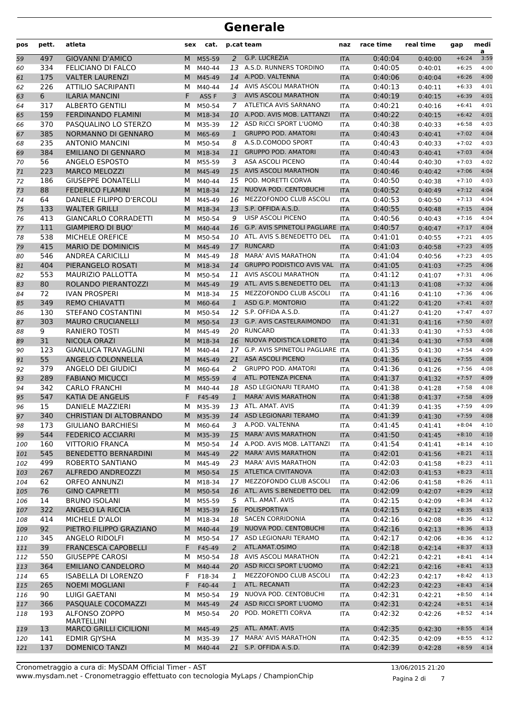| pos | pett. | atleta                        | sex | cat.             |                | p.cat team                          | naz        | race time | real time | gap     | medi<br>a |
|-----|-------|-------------------------------|-----|------------------|----------------|-------------------------------------|------------|-----------|-----------|---------|-----------|
| 59  | 497   | <b>GIOVANNI D'AMICO</b>       | M   | M55-59           | 2              | G.P. LUCREZIA                       | <b>ITA</b> | 0:40:04   | 0:40:00   | $+6:24$ | 3:59      |
| 60  | 334   | FELICIANO DI FALCO            | м   | M40-44           |                | 13 A.S.D. RUNNERS TORDINO           | <b>ITA</b> | 0:40:05   | 0:40:01   | $+6:25$ | 4:00      |
| 61  | 175   | <b>VALTER LAURENZI</b>        | M   | M45-49           |                | 14 A.POD. VALTENNA                  | <b>ITA</b> | 0:40:06   | 0:40:04   | $+6:26$ | 4:00      |
| 62  | 226   | <b>ATTILIO SACRIPANTI</b>     | м   | M40-44           |                | 14 AVIS ASCOLI MARATHON             | <b>ITA</b> | 0:40:13   | 0:40:11   | $+6:33$ | 4:01      |
| 63  | 6     | <b>ILARIA MANCINI</b>         | F   | ASS <sub>F</sub> | 3              | <b>AVIS ASCOLI MARATHON</b>         | <b>ITA</b> | 0:40:19   | 0:40:15   | $+6:39$ | 4:01      |
| 64  | 317   | <b>ALBERTO GENTILI</b>        | М   | M50-54           | 7              | ATLETICA AVIS SARNANO               | <b>ITA</b> | 0:40:21   | 0:40:16   | $+6:41$ | 4:01      |
| 65  | 159   | <b>FERDINANDO FLAMINI</b>     | M   | M18-34           |                | 10 A.POD. AVIS MOB. LATTANZI        | <b>ITA</b> | 0:40:22   | 0:40:15   | $+6:42$ | 4:01      |
| 66  | 370   | PASQUALINO LO STERZO          | м   | M35-39           |                | 12 ASD RICCI SPORT L'UOMO           | <b>ITA</b> | 0:40:38   | 0:40:33   | $+6:58$ | 4:03      |
| 67  | 385   | NORMANNO DI GENNARO           | M   | M65-69           | $\mathbf{1}$   | <b>GRUPPO POD. AMATORI</b>          | <b>ITA</b> | 0:40:43   | 0:40:41   | $+7:02$ | 4:04      |
| 68  | 235   | <b>ANTONIO MANCINI</b>        | м   | M50-54           | 8              | A.S.D.COMODO SPORT                  | <b>ITA</b> | 0:40:43   | 0:40:33   | $+7:02$ | 4:03      |
| 69  | 384   | <b>EMILIANO DI GENNARO</b>    | M   | M18-34           | 11             | <b>GRUPPO POD. AMATORI</b>          | <b>ITA</b> | 0:40:43   | 0:40:41   | $+7:03$ | 4:04      |
| 70  | 56    | ANGELO ESPOSTO                | м   | M55-59           | 3              | ASA ASCOLI PICENO                   | <b>ITA</b> | 0:40:44   | 0:40:30   | $+7:03$ | 4:02      |
| 71  | 223   | <b>MARCO MELOZZI</b>          | M   | M45-49           | 15             | <b>AVIS ASCOLI MARATHON</b>         | <b>ITA</b> | 0:40:46   | 0:40:42   | $+7:06$ | 4:04      |
| 72  | 186   | <b>GIUSEPPE DONATELLI</b>     | м   | M40-44           | 15             | POD. MORETTI CORVA                  | <b>ITA</b> | 0:40:50   | 0:40:38   | $+7:10$ | 4:03      |
| 73  | 88    | <b>FEDERICO FLAMINI</b>       | M   | M18-34           |                | 12 NUOVA POD. CENTOBUCHI            | <b>ITA</b> | 0:40:52   | 0:40:49   | $+7:12$ | 4:04      |
| 74  | 64    | DANIELE FILIPPO D'ERCOLI      | м   | M45-49           | 16             | MEZZOFONDO CLUB ASCOLI              | <b>ITA</b> | 0:40:53   | 0:40:50   | $+7:13$ | 4:04      |
| 75  | 133   | <b>WALTER GRILLI</b>          | M   | M18-34           | 13             | S.P. OFFIDA A.S.D.                  | <b>ITA</b> | 0:40:55   | 0:40:48   | $+7:15$ | 4:04      |
| 76  | 413   | <b>GIANCARLO CORRADETTI</b>   | м   | M50-54           | 9              | UISP ASCOLI PICENO                  | <b>ITA</b> | 0:40:56   | 0:40:43   | $+7:16$ | 4:04      |
| 77  | 111   | <b>GIAMPIERO DI BUO'</b>      | M   | M40-44           | 16             | G.P. AVIS SPINETOLI PAGLIARE ITA    |            | 0:40:57   | 0:40:47   | $+7:17$ | 4:04      |
| 78  | 538   | MICHELE OREFICE               | м   | M50-54           |                | 10 ATL. AVIS S.BENEDETTO DEL        | <b>ITA</b> | 0:41:01   | 0:40:55   | $+7:21$ | 4:05      |
| 79  | 415   | <b>MARIO DE DOMINICIS</b>     | M   | M45-49           | 17             | <b>RUNCARD</b>                      | <b>ITA</b> | 0:41:03   | 0:40:58   | $+7:23$ | 4:05      |
| 80  | 546   | <b>ANDREA CARICILLI</b>       | м   | M45-49           | 18             | <b>MARA' AVIS MARATHON</b>          | <b>ITA</b> | 0:41:04   | 0:40:56   | $+7:23$ | 4:05      |
| 81  | 404   | PIERANGELO ROSATI             | M   | M18-34           | 14             | <b>GRUPPO PODISTICO AVIS VAL</b>    | <b>ITA</b> | 0:41:05   | 0:41:03   | $+7:25$ | 4:06      |
| 82  | 553   | MAURIZIO PALLOTTA             | м   | M50-54           | 11             | AVIS ASCOLI MARATHON                | <b>ITA</b> | 0:41:12   | 0:41:07   | $+7:31$ | 4:06      |
| 83  | 80    | ROLANDO PIERANTOZZI           | M   | M45-49           | 19             | ATL. AVIS S.BENEDETTO DEL           | <b>ITA</b> | 0:41:13   | 0:41:08   | $+7:32$ | 4:06      |
| 84  | 72    | <b>IVAN PROSPERI</b>          | м   | M18-34           |                | 15 MEZZOFONDO CLUB ASCOLI           | <b>ITA</b> | 0:41:16   | 0:41:10   | $+7:36$ | 4:06      |
| 85  | 349   | <b>REMO CHIAVATTI</b>         | M   | M60-64           | $\mathbf{1}$   | ASD G.P. MONTORIO                   | <b>ITA</b> | 0:41:22   | 0:41:20   | $+7:41$ | 4:07      |
| 86  | 130   | STEFANO COSTANTINI            | М   | M50-54           |                | 12 S.P. OFFIDA A.S.D.               | <b>ITA</b> | 0:41:27   | 0:41:20   | $+7:47$ | 4:07      |
| 87  | 303   | <b>MAURO CRUCIANELLI</b>      | M   | M50-54           | 13             | G.P. AVIS CASTELRAIMONDO            | <b>ITA</b> | 0:41:31   | 0:41:16   | $+7:50$ | 4:07      |
| 88  | 9     | <b>RANIERO TOSTI</b>          | м   | M45-49           |                | 20 RUNCARD                          | <b>ITA</b> | 0:41:33   | 0:41:30   | $+7:53$ | 4:08      |
| 89  | 31    | NICOLA ORAZI                  | M   | M18-34           | 16             | NUOVA PODISTICA LORETO              | <b>ITA</b> | 0:41:34   | 0:41:30   | $+7:53$ | 4:08      |
| 90  | 123   | <b>GIANLUCA TRAVAGLINI</b>    | м   | M40-44           |                | 17 G.P. AVIS SPINETOLI PAGLIARE ITA |            | 0:41:35   | 0:41:30   | $+7:54$ | 4:09      |
| 91  | 55    | ANGELO COLONNELLA             | M   | M45-49           | 21             | <b>ASA ASCOLI PICENO</b>            | <b>ITA</b> | 0:41:36   | 0:41:26   | $+7:55$ | 4:08      |
| 92  | 379   | ANGELO DEI GIUDICI            | м   | M60-64           | 2              | <b>GRUPPO POD. AMATORI</b>          | <b>ITA</b> | 0:41:36   | 0:41:26   | $+7:56$ | 4:08      |
| 93  | 289   | <b>FABIANO MICUCCI</b>        | M   | M55-59           | $\overline{4}$ | ATL. POTENZA PICENA                 | <b>ITA</b> | 0:41:37   | 0:41:32   | $+7:57$ | 4:09      |
| 94  | 342   | <b>CARLO FRANCHI</b>          | м   | M40-44           | 18             | ASD LEGIONARI TERAMO                | <b>ITA</b> | 0:41:38   | 0:41:28   | $+7:58$ | 4:08      |
| 95  | 547   | <b>KATIA DE ANGELIS</b>       | F   | F45-49           | $\mathbf{1}$   | <b>MARA' AVIS MARATHON</b>          | <b>ITA</b> | 0:41:38   | 0:41:37   | $+7:58$ | 4:09      |
| 96  | 15    | DANIELE MAZZIERI              | м   | M35-39           | 13             | ATL. AMAT. AVIS                     | <b>ITA</b> | 0:41:39   | 0:41:35   | $+7:59$ | 4:09      |
| 97  | 340   | CHRISTIAN DI ALTOBRANDO       | M   | M35-39           | 14             | <b>ASD LEGIONARI TERAMO</b>         | <b>ITA</b> | 0:41:39   | 0:41:30   | $+7:59$ | 4:08      |
| 98  | 173   | <b>GIULIANO BARCHIESI</b>     |     | M M60-64         | 3              | A.POD. VALTENNA                     | ITA        | 0:41:45   | 0:41:41   | $+8:04$ | 4:10      |
| 99  | 544   | <b>FEDERICO ACCIARRI</b>      |     | M M35-39         | 15             | <b>MARA' AVIS MARATHON</b>          | <b>ITA</b> | 0:41:50   | 0:41:45   | $+8:10$ | 4:10      |
| 100 | 160   | <b>VITTORIO FRANCA</b>        |     | M M50-54         |                | 14 A.POD. AVIS MOB. LATTANZI        | <b>ITA</b> | 0:41:54   | 0:41:41   | $+8:14$ | 4:10      |
| 101 | 545   | <b>BENEDETTO BERNARDINI</b>   |     | M M45-49         |                | 22 MARA' AVIS MARATHON              | <b>ITA</b> | 0:42:01   | 0:41:56   | $+8:21$ | 4:11      |
| 102 | 499   | ROBERTO SANTIANO              | м   | M45-49           |                | 23 MARA' AVIS MARATHON              | <b>ITA</b> | 0:42:03   | 0:41:58   | $+8:23$ | 4:11      |
| 103 | 267   | ALFREDO ANDREOZZI             |     | M M50-54         |                | 15 ATLETICA CIVITANOVA              | <b>ITA</b> | 0:42:03   | 0:41:53   | $+8:23$ | 4:11      |
| 104 | 62    | <b>ORFEO ANNUNZI</b>          |     | M M18-34         |                | 17 MEZZOFONDO CLUB ASCOLI           | ITA        | 0:42:06   | 0:41:58   | $+8:26$ | 4:11      |
| 105 | 76    | <b>GINO CAPRETTI</b>          |     | M M50-54         |                | 16 ATL. AVIS S.BENEDETTO DEL        | <b>ITA</b> | 0:42:09   | 0:42:07   | $+8:29$ | 4:12      |
| 106 | 14    | <b>BRUNO ISOLANI</b>          | м   | M55-59           | 5              | ATL. AMAT. AVIS                     | ITA        | 0:42:15   | 0:42:09   | $+8:34$ | 4:12      |
| 107 | 322   | ANGELO LA RICCIA              |     | M M35-39         | 16             | POLISPORTIVA                        | <b>ITA</b> | 0:42:15   | 0:42:12   | $+8:35$ | 4:13      |
| 108 | 414   | MICHELE D'ALOI                | м   | M18-34           |                | 18 SACEN CORRIDONIA                 | <b>ITA</b> | 0:42:16   | 0:42:08   | $+8:36$ | 4:12      |
| 109 | 92    | PIETRO FILIPPO GRAZIANO       |     | M M40-44         |                | 19 NUOVA POD. CENTOBUCHI            | <b>ITA</b> | 0:42:16   | 0:42:13   | $+8:36$ | 4:13      |
| 110 | 345   | ANGELO RIDOLFI                |     | M M50-54         |                | 17 ASD LEGIONARI TERAMO             | ITA        | 0:42:17   | 0:42:06   | $+8:36$ | 4:12      |
| 111 | 39    | <b>FRANCESCA CAPOBELLI</b>    | F.  | F45-49           | 2              | ATL.AMAT.OSIMO                      | <b>ITA</b> | 0:42:18   | 0:42:14   | $+8:37$ | 4:13      |
| 112 | 550   | <b>GIUSEPPE CAROSI</b>        | м   | M50-54           |                | 18 AVIS ASCOLI MARATHON             | <b>ITA</b> | 0:42:21   | 0:42:21   | $+8:41$ | 4:14      |
| 113 | 364   | <b>EMILIANO CANDELORO</b>     |     | M M40-44         |                | 20 ASD RICCI SPORT L'UOMO           | <b>ITA</b> | 0:42:21   | 0:42:16   | $+8:41$ | 4:13      |
| 114 | 65    | <b>ISABELLA DI LORENZO</b>    | F   | F18-34           | 1              | MEZZOFONDO CLUB ASCOLI              | <b>ITA</b> | 0:42:23   | 0:42:17   | $+8:42$ | 4:13      |
| 115 | 265   | <b>NOEMI MOGLIANI</b>         | F   | F40-44           | $\mathbf{1}$   | ATL. RECANATI                       | <b>ITA</b> | 0:42:23   | 0:42:23   | $+8:43$ | 4:14      |
| 116 | 90    | LUIGI GAETANI                 |     | M M50-54         | 19             | NUOVA POD. CENTOBUCHI               | ITA        | 0:42:31   | 0:42:21   | $+8:50$ | 4:14      |
| 117 | 366   | PASQUALE COCOMAZZI            | M   | M45-49           | 24             | ASD RICCI SPORT L'UOMO              | <b>ITA</b> | 0:42:31   | 0:42:24   | $+8:51$ | 4:14      |
| 118 | 193   | <b>ALFONSO ZOPPO</b>          | м   | M50-54           | 20             | POD. MORETTI CORVA                  | ITA        | 0:42:32   | 0:42:26   | $+8:52$ | 4:14      |
|     |       | MARTELLINI                    |     |                  |                |                                     |            |           |           |         |           |
| 119 | 13    | <b>MARCO GRILLI CICILIONI</b> |     | M M45-49         |                | 25 ATL. AMAT. AVIS                  | <b>ITA</b> | 0:42:35   | 0:42:30   | $+8:55$ | 4:14      |
| 120 | 141   | <b>EDMIR GJYSHA</b>           | M   | M35-39           | 17             | <b>MARA' AVIS MARATHON</b>          | <b>ITA</b> | 0:42:35   | 0:42:09   | $+8:55$ | 4:12      |
| 121 | 137   | DOMENICO TANZI                | M   | M40-44           |                | 21 S.P. OFFIDA A.S.D.               | <b>ITA</b> | 0:42:39   | 0:42:28   | $+8:59$ | 4:14      |

Pagina 2 di 7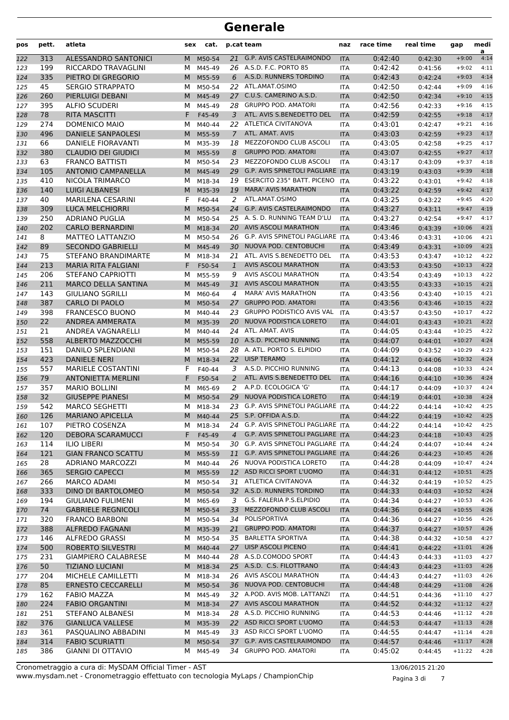| pos | pett. | atleta                     | sex | cat.     |                | p.cat team                              | naz        | race time | real time | gap      | medi<br>a |
|-----|-------|----------------------------|-----|----------|----------------|-----------------------------------------|------------|-----------|-----------|----------|-----------|
| 122 | 313   | ALESSANDRO SANTONICI       | M   | M50-54   |                | 21 G.P. AVIS CASTELRAIMONDO             | <b>ITA</b> | 0:42:40   | 0:42:30   | $+9:00$  | 4:14      |
| 123 | 199   | RICCARDO TRAVAGLINI        | м   | M45-49   |                | 26 A.S.D. F.C. PORTO 85                 | ITA        | 0:42:42   | 0:41:56   | $+9:02$  | 4:11      |
| 124 | 335   | PIETRO DI GREGORIO         | M   | M55-59   | 6              | A.S.D. RUNNERS TORDINO                  | <b>ITA</b> | 0:42:43   | 0:42:24   | $+9:03$  | 4:14      |
| 125 | 45    | <b>SERGIO STRAPPATO</b>    | м   | M50-54   | 22             | ATL.AMAT.OSIMO                          | <b>ITA</b> | 0:42:50   | 0:42:44   | $+9:09$  | 4:16      |
| 126 | 260   | PIERLUIGI DEBANI           | M   | M45-49   | 27             | C.U.S. CAMERINO A.S.D.                  | <b>ITA</b> | 0:42:50   | 0:42:34   | $+9:10$  | 4:15      |
| 127 | 395   | <b>ALFIO SCUDERI</b>       | м   | M45-49   | 28.            | <b>GRUPPO POD. AMATORI</b>              | ITA        | 0:42:56   | 0:42:33   | $+9:16$  | 4:15      |
| 128 | 78    | <b>RITA MASCITTI</b>       | F   | F45-49   | 3              | ATL. AVIS S.BENEDETTO DEL               | <b>ITA</b> | 0:42:59   | 0:42:55   | $+9:18$  | 4:17      |
| 129 | 274   | DOMENICO MAIO              | м   | M40-44   |                | 22 ATLETICA CIVITANOVA                  | ITA        | 0:43:01   | 0:42:47   | $+9:21$  | 4:16      |
| 130 | 496   | <b>DANIELE SANPAOLESI</b>  | M   | M55-59   | $\overline{7}$ | ATL, AMAT, AVIS                         | <b>ITA</b> | 0:43:03   | 0:42:59   | $+9:23$  | 4:17      |
| 131 | 66    | <b>DANIELE FIORAVANTI</b>  | м   | M35-39   | 18             | MEZZOFONDO CLUB ASCOLI                  | <b>ITA</b> | 0:43:05   | 0:42:58   | $+9:25$  | 4:17      |
| 132 | 380   | <b>CLAUDIO DEI GIUDICI</b> | M   | M55-59   | 8              | <b>GRUPPO POD. AMATORI</b>              | <b>ITA</b> | 0:43:07   | 0:42:55   | $+9:27$  | 4:17      |
| 133 | 63    | <b>FRANCO BATTISTI</b>     | м   | M50-54   | 23             | MEZZOFONDO CLUB ASCOLI                  | <b>ITA</b> | 0:43:17   | 0:43:09   | $+9:37$  | 4:18      |
| 134 | 105   | <b>ANTONIO CAMPANELLA</b>  | M   | M45-49   | 29             | G.P. AVIS SPINETOLI PAGLIARE ITA        |            | 0:43:19   | 0:43:03   | $+9:39$  | 4:18      |
| 135 | 410   | NICOLA TRIMARCO            | м   | M18-34   |                | 19 ESERCITO 235° BATT. PICENO           | ITA        | 0:43:22   | 0:43:01   | $+9:42$  | 4:18      |
| 136 | 140   | <b>LUIGI ALBANESI</b>      | M   | M35-39   | 19             | <b>MARA' AVIS MARATHON</b>              | <b>ITA</b> | 0:43:22   | 0:42:59   | $+9:42$  | 4:17      |
| 137 | 40    | <b>MARILENA CESARINI</b>   | F   | F40-44   | 2              | ATL.AMAT.OSIMO                          | <b>ITA</b> | 0:43:25   | 0:43:22   | $+9:45$  | 4:20      |
| 138 | 309   | <b>LUCA MELCHIORRI</b>     | M   | M50-54   | 24             | <b>G.P. AVIS CASTELRAIMONDO</b>         | <b>ITA</b> | 0:43:27   | 0:43:11   | $+9:47$  | 4:19      |
| 139 | 250   | <b>ADRIANO PUGLIA</b>      | м   | M50-54   |                | 25 A. S. D. RUNNING TEAM D'LU           | <b>ITA</b> | 0:43:27   | 0:42:54   | $+9:47$  | 4:17      |
| 140 | 202   | <b>CARLO BERNARDINI</b>    | M   | M18-34   |                | 20 AVIS ASCOLI MARATHON                 | <b>ITA</b> | 0:43:46   | 0:43:39   | $+10:06$ | 4:21      |
| 141 | 8     | <b>MATTEO LATTANZIO</b>    | м   | M50-54   |                | 26 G.P. AVIS SPINETOLI PAGLIARE ITA     |            | 0:43:46   | 0:43:31   | $+10:06$ | 4:21      |
| 142 | 89    | <b>SECONDO GABRIELLI</b>   | M   | M45-49   | 30             | NUOVA POD. CENTOBUCHI                   | <b>ITA</b> | 0:43:49   | 0:43:31   | $+10:09$ | 4:21      |
| 143 | 75    | <b>STEFANO BRANDIMARTE</b> | м   | M18-34   | 21             | ATL. AVIS S.BENEDETTO DEL               | <b>ITA</b> | 0:43:53   | 0:43:47   | $+10:12$ | 4:22      |
| 144 | 213   | <b>MARIA RITA FALGIANI</b> | F   | F50-54   | $\mathbf{1}$   | <b>AVIS ASCOLI MARATHON</b>             | <b>ITA</b> | 0:43:53   | 0:43:50   | $+10:13$ | 4:22      |
| 145 | 206   | <b>STEFANO CAPRIOTTI</b>   | м   | M55-59   | 9              | AVIS ASCOLI MARATHON                    | <b>ITA</b> | 0:43:54   | 0:43:49   | $+10:13$ | 4:22      |
| 146 | 211   | <b>MARCO DELLA SANTINA</b> | M   | M45-49   | 31             | <b>AVIS ASCOLI MARATHON</b>             | <b>ITA</b> | 0:43:55   | 0:43:33   | $+10:15$ | 4:21      |
| 147 | 143   | <b>GIULIANO SGRILLI</b>    | м   | M60-64   | 4              | <b>MARA' AVIS MARATHON</b>              | ITA        | 0:43:56   | 0:43:40   | $+10:15$ | 4:21      |
| 148 | 387   | <b>CARLO DI PAOLO</b>      | M   | M50-54   | 27             | <b>GRUPPO POD. AMATORI</b>              | <b>ITA</b> | 0:43:56   | 0:43:46   | $+10:15$ | 4:22      |
| 149 | 398   | <b>FRANCESCO BUONO</b>     | м   | M40-44   | 23             | <b>GRUPPO PODISTICO AVIS VAL</b>        | <b>ITA</b> | 0:43:57   | 0:43:50   | $+10:17$ | 4:22      |
| 150 | 22    | ANDREA AMMERATA            | M   | M35-39   | 20             | NUOVA PODISTICA LORETO                  | <b>ITA</b> | 0:44:01   | 0:43:43   | $+10:21$ | 4:22      |
| 151 | 21    | ANDREA VAGNARELLI          | м   | M40-44   |                | 24 ATL. AMAT. AVIS                      | <b>ITA</b> | 0:44:05   | 0:43:44   | $+10:25$ | 4:22      |
| 152 | 558   | <b>ALBERTO MAZZOCCHI</b>   | M   | M55-59   |                | 10 A.S.D. PICCHIO RUNNING               | <b>ITA</b> | 0:44:07   | 0:44:01   | $+10:27$ | 4:24      |
| 153 | 151   | DANILO SPLENDIANI          | м   | M50-54   |                | 28 A. ATL. PORTO S. ELPIDIO             | ITA        | 0:44:09   | 0:43:52   | $+10:29$ | 4:23      |
| 154 | 423   | <b>DANIELE NERI</b>        | M   | M18-34   | 22             | <b>UISP TERAMO</b>                      | <b>ITA</b> | 0:44:12   | 0:44:06   | $+10:32$ | 4:24      |
| 155 | 557   | <b>MARIELE COSTANTINI</b>  | F   | F40-44   | 3              | A.S.D. PICCHIO RUNNING                  | <b>ITA</b> | 0:44:13   | 0:44:08   | $+10:33$ | 4:24      |
| 156 | 79    | <b>ANTONIETTA MERLINI</b>  | F   | F50-54   | 2              | ATL. AVIS S.BENEDETTO DEL               | <b>ITA</b> | 0:44:16   | 0:44:10   | $+10:36$ | 4:24      |
| 157 | 357   | <b>MARIO BOLLINI</b>       | м   | M65-69   | 2              | A.P.D. ECOLOGICA 'G'                    | <b>ITA</b> | 0:44:17   | 0:44:09   | $+10:37$ | 4:24      |
| 158 | 32    | <b>GIUSEPPE PIANESI</b>    | M   | M50-54   | 29             | NUOVA PODISTICA LORETO                  | <b>ITA</b> | 0:44:19   | 0:44:01   | $+10:38$ | 4:24      |
| 159 | 542   | <b>MARCO SEGHETTI</b>      | м   | M18-34   | 23             | G.P. AVIS SPINETOLI PAGLIARE ITA        |            | 0:44:22   | 0:44:14   | $+10:42$ | 4:25      |
| 160 | 126   | <b>MARIANO APICELLA</b>    | M   | M40-44   |                | 25 S.P. OFFIDA A.S.D.                   | <b>ITA</b> | 0:44:22   | 0:44:19   | $+10:42$ | 4:25      |
| 161 | 107   | PIETRO COSENZA             | M   | M18-34   |                | 24 G.P. AVIS SPINETOLI PAGLIARE ITA     |            | 0:44:22   | 0:44:14   | $+10:42$ | 4:25      |
| 162 | 120   | <b>DEBORA SCARAMUCCI</b>   | F.  | F45-49   | $\overline{4}$ | G.P. AVIS SPINETOLI PAGLIARE ITA        |            | 0:44:23   | 0:44:18   | $+10:43$ | 4:25      |
| 163 | 114   | <b>ILIO LIBERI</b>         | M   | M50-54   |                | 30 G.P. AVIS SPINETOLI PAGLIARE ITA     |            | 0:44:24   | 0:44:07   | $+10:44$ | 4:24      |
| 164 | 121   | <b>GIAN FRANCO SCATTU</b>  | M   | M55-59   | 11             | <b>G.P. AVIS SPINETOLI PAGLIARE ITA</b> |            | 0:44:26   | 0:44:23   | $+10:45$ | 4:26      |
| 165 | 28    | ADRIANO MARCOZZI           | м   | M40-44   |                | 26 NUOVA PODISTICA LORETO               | ITA        | 0:44:28   | 0:44:09   | $+10:47$ | 4:24      |
| 166 | 365   | <b>SERGIO CAPECCI</b>      | M   | M55-59   |                | 12 ASD RICCI SPORT L'UOMO               | <b>ITA</b> | 0:44:31   | 0:44:12   | $+10:51$ | 4:25      |
| 167 | 266   | <b>MARCO ADAMI</b>         | м   | M50-54   | 31             | ATLETICA CIVITANOVA                     | ITA        | 0:44:32   | 0:44:19   | $+10:52$ | 4:25      |
| 168 | 333   | DINO DI BARTOLOMEO         |     | M M50-54 |                | 32 A.S.D. RUNNERS TORDINO               | <b>ITA</b> | 0:44:33   | 0:44:03   | $+10:52$ | 4:24      |
| 169 | 194   | <b>GIULIANO FULIMENI</b>   | M   | M65-69   | 3              | G.S. FALERIA P.S.ELPIDIO                | ITA        | 0:44:34   | 0:44:27   | $+10:53$ | 4:26      |
| 170 | 74    | <b>GABRIELE REGNICOLI</b>  | M   | M50-54   | 33             | MEZZOFONDO CLUB ASCOLI                  | <b>ITA</b> | 0:44:36   | 0:44:24   | $+10:55$ | 4:26      |
| 171 | 320   | <b>FRANCO BARBONI</b>      |     | M M50-54 |                | 34 POLISPORTIVA                         | ITA        | 0:44:36   | 0:44:27   | $+10:56$ | 4:26      |
| 172 | 388   | <b>ALFREDO FAGNANI</b>     |     | M M35-39 | 21             | <b>GRUPPO POD. AMATORI</b>              | <b>ITA</b> | 0:44:37   | 0:44:27   | $+10:57$ | 4:26      |
| 173 | 146   | ALFREDO GRASSI             | м   | M50-54   | 35             | <b>BARLETTA SPORTIVA</b>                | ITA        | 0:44:38   | 0:44:32   | $+10:58$ | 4:27      |
| 174 | 500   | ROBERTO SILVESTRI          |     | M M40-44 |                | 27 UISP ASCOLI PICENO                   | <b>ITA</b> | 0:44:41   | 0:44:22   | $+11:01$ | 4:26      |
| 175 | 231   | <b>GIAMPIERO CALABRESE</b> | M   | M40-44   |                | 28 A.S.D.COMODO SPORT                   | ITA        | 0:44:43   | 0:44:33   | $+11:03$ | 4:27      |
| 176 | 50    | <b>TIZIANO LUCIANI</b>     | M   | M18-34   |                | 25 A.S.D. C.S. FILOTTRANO               | <b>ITA</b> | 0:44:43   | 0:44:23   | $+11:03$ | 4:26      |
| 177 | 204   | MICHELE CAMILLETTI         | м   | M18-34   |                | 26 AVIS ASCOLI MARATHON                 | ITA        | 0:44:43   | 0:44:27   | $+11:03$ | 4:26      |
| 178 | 85    | <b>ERNESTO CECCARELLI</b>  | M   | M50-54   |                | 36 NUOVA POD. CENTOBUCHI                | <b>ITA</b> | 0:44:48   | 0:44:29   | $+11:08$ | 4:26      |
| 179 | 162   | <b>FABIO MAZZA</b>         | м   | M45-49   |                | 32 A.POD. AVIS MOB. LATTANZI            | ITA        | 0:44:51   | 0:44:36   | $+11:10$ | 4:27      |
| 180 | 224   | <b>FABIO ORGANTINI</b>     |     | M M18-34 |                | 27 AVIS ASCOLI MARATHON                 | <b>ITA</b> | 0:44:52   | 0:44:32   | $+11:12$ | 4:27      |
| 181 | 251   | STEFANO ALBANESI           |     | M M18-34 |                | 28 A.S.D. PICCHIO RUNNING               | ITA        | 0:44:53   | 0:44:46   | $+11:12$ | 4:28      |
| 182 | 376   | <b>GIANLUCA VALLESE</b>    | M   | M35-39   |                | 22 ASD RICCI SPORT L'UOMO               | <b>ITA</b> | 0:44:53   | 0:44:47   | $+11:13$ | 4:28      |
| 183 | 361   | PASQUALINO ABBADINI        | M   | M45-49   |                | 33 ASD RICCI SPORT L'UOMO               | ITA        | 0:44:55   | 0:44:47   | $+11:14$ | 4:28      |
| 184 | 314   | <b>FABIO SCURIATTI</b>     | M   | M50-54   |                | 37 G.P. AVIS CASTELRAIMONDO             | <b>ITA</b> | 0:44:57   | 0:44:46   | $+11:17$ | 4:28      |
| 185 | 386   | <b>GIANNI DI OTTAVIO</b>   | M   | M45-49   | 34             | <b>GRUPPO POD. AMATORI</b>              | ITA        | 0:45:02   | 0:44:45   | $+11:22$ | 4:28      |

www.mysdam.net - Cronometraggio effettuato con tecnologia MyLaps / ChampionChip Cronometraggio a cura di: MySDAM Official Timer - AST 13/06/2015 21:20

Pagina 3 di 7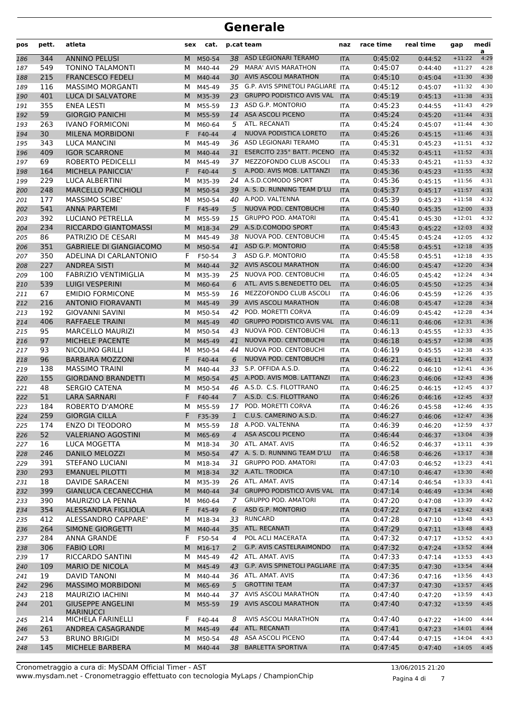| pos | pett. | atleta                         | sex | cat.     |                | p.cat team                              | naz        | race time | real time | gap      | medi<br>a |
|-----|-------|--------------------------------|-----|----------|----------------|-----------------------------------------|------------|-----------|-----------|----------|-----------|
| 186 | 344   | <b>ANNINO PELUSI</b>           | M   | M50-54   |                | 38 ASD LEGIONARI TERAMO                 | <b>ITA</b> | 0:45:02   | 0:44:52   | $+11:22$ | 4:29      |
| 187 | 549   | TONINO TALAMONTI               | м   | M40-44   |                | 29 MARA' AVIS MARATHON                  | <b>ITA</b> | 0:45:07   | 0:44:40   | $+11:27$ | 4:28      |
| 188 | 215   | <b>FRANCESCO FEDELI</b>        | М   | M40-44   |                | 30 AVIS ASCOLI MARATHON                 | <b>ITA</b> | 0:45:10   | 0:45:04   | $+11:30$ | 4:30      |
| 189 | 116   | <b>MASSIMO MORGANTI</b>        | М   | M45-49   |                | 35 G.P. AVIS SPINETOLI PAGLIARE ITA     |            | 0:45:12   | 0:45:07   | $+11:32$ | 4:30      |
| 190 | 401   | LUCA DI SALVATORE              | M   | M35-39   | 23             | <b>GRUPPO PODISTICO AVIS VAL</b>        | <b>ITA</b> | 0:45:19   | 0:45:13   | $+11:38$ | 4:31      |
| 191 | 355   | <b>ENEA LESTI</b>              | м   | M55-59   |                | 13 ASD G.P. MONTORIO                    | <b>ITA</b> | 0:45:23   | 0:44:55   | $+11:43$ | 4:29      |
| 192 | 59    | <b>GIORGIO PANICHI</b>         | M   | M55-59   | 14             | ASA ASCOLI PICENO                       | <b>ITA</b> | 0:45:24   | 0:45:20   | $+11:44$ | 4:31      |
| 193 | 263   | <b>IVANO FORMICONI</b>         | м   | M60-64   | 5.             | ATL. RECANATI                           | ITA        | 0:45:24   | 0:45:07   | $+11:44$ | 4:30      |
| 194 | 30    | <b>MILENA MORBIDONI</b>        | F   | F40-44   | $\overline{4}$ | NUOVA PODISTICA LORETO                  | <b>ITA</b> | 0:45:26   | 0:45:15   | $+11:46$ | 4:31      |
| 195 | 343   | <b>LUCA MANCINI</b>            | М   | M45-49   |                | 36 ASD LEGIONARI TERAMO                 | <b>ITA</b> | 0:45:31   | 0:45:23   | $+11:51$ | 4:32      |
| 196 | 409   | <b>IGOR SCARRONE</b>           | M   | M40-44   | 31             | ESERCITO 235° BATT. PICENO              | <b>ITA</b> | 0:45:32   | 0:45:11   | $+11:52$ | 4:31      |
| 197 | 69    | ROBERTO PEDICELLI              | М   | M45-49   |                | 37 MEZZOFONDO CLUB ASCOLI               | <b>ITA</b> | 0:45:33   | 0:45:21   | $+11:53$ | 4:32      |
| 198 | 164   | MICHELA PANICCIA'              | F   | F40-44   | 5              | A.POD. AVIS MOB. LATTANZI               | <b>ITA</b> | 0:45:36   | 0:45:23   | $+11:55$ | 4:32      |
| 199 | 229   | LUCA ALBERTINI                 | м   | M35-39   |                | 24 A.S.D.COMODO SPORT                   | <b>ITA</b> | 0:45:36   | 0:45:15   | $+11:56$ | 4:31      |
| 200 | 248   | <b>MARCELLO PACCHIOLI</b>      | М   | M50-54   |                | 39 A. S. D. RUNNING TEAM D'LU           | <b>ITA</b> | 0:45:37   | 0:45:17   | $+11:57$ | 4:31      |
| 201 | 177   | <b>MASSIMO SCIBE'</b>          | М   | M50-54   |                | 40 A.POD. VALTENNA                      | <b>ITA</b> | 0:45:39   | 0:45:23   | $+11:58$ | 4:32      |
| 202 | 541   | <b>ANNA PARTEMI</b>            | F   | F45-49   | 5              | NUOVA POD. CENTOBUCHI                   | <b>ITA</b> | 0:45:40   | 0:45:35   | $+12:00$ | 4:33      |
| 203 | 392   | LUCIANO PETRELLA               | м   | M55-59   | 15             | <b>GRUPPO POD. AMATORI</b>              | <b>ITA</b> | 0:45:41   | 0:45:30   | $+12:01$ | 4:32      |
| 204 | 234   | RICCARDO GIANTOMASSI           | M   | M18-34   |                | 29 A.S.D.COMODO SPORT                   | <b>ITA</b> | 0:45:43   | 0:45:22   | $+12:03$ | 4:32      |
| 205 | 86    | PATRIZIO DE CESARI             | м   | M45-49   |                | 38 NUOVA POD. CENTOBUCHI                | <b>ITA</b> | 0:45:45   | 0:45:24   | $+12:05$ | 4:32      |
| 206 | 351   | <b>GABRIELE DI GIANGIACOMO</b> | м   | M50-54   |                | 41 ASD G.P. MONTORIO                    | <b>ITA</b> | 0:45:58   | 0:45:51   | $+12:18$ | 4:35      |
| 207 | 350   | ADELINA DI CARLANTONIO         | F   | F50-54   | 3              | ASD G.P. MONTORIO                       | <b>ITA</b> | 0:45:58   | 0:45:51   | $+12:18$ | 4:35      |
| 208 | 227   | <b>ANDREA SISTI</b>            | M   | M40-44   | 32             | <b>AVIS ASCOLI MARATHON</b>             | <b>ITA</b> | 0:46:00   | 0:45:47   | $+12:20$ | 4:34      |
| 209 | 100   | <b>FABRIZIO VENTIMIGLIA</b>    | М   | M35-39   | 25             | NUOVA POD. CENTOBUCHI                   | <b>ITA</b> | 0:46:05   | 0:45:42   | $+12:24$ | 4:34      |
| 210 | 539   | <b>LUIGI VESPERINI</b>         | M   | M60-64   | 6              | ATL. AVIS S.BENEDETTO DEL               | <b>ITA</b> | 0:46:05   | 0:45:50   | $+12:25$ | 4:34      |
| 211 | 67    | <b>EMIDIO FORMICONE</b>        | М   | M55-59   |                | 16 MEZZOFONDO CLUB ASCOLI               | ITA        | 0:46:06   | 0:45:59   | $+12:26$ | 4:35      |
| 212 | 216   | <b>ANTONIO FIORAVANTI</b>      | М   | M45-49   |                | 39 AVIS ASCOLI MARATHON                 | <b>ITA</b> | 0:46:08   | 0:45:47   | $+12:28$ | 4:34      |
| 213 | 192   | <b>GIOVANNI SAVINI</b>         | М   | M50-54   | 42             | POD. MORETTI CORVA                      | <b>ITA</b> | 0:46:09   | 0:45:42   | $+12:28$ | 4:34      |
| 214 | 406   | <b>RAFFAELE TRAINI</b>         | M   | M45-49   | 40             | <b>GRUPPO PODISTICO AVIS VAL</b>        | <b>ITA</b> | 0:46:11   | 0:46:06   | $+12:31$ | 4:36      |
| 215 | 95    | <b>MARCELLO MAURIZI</b>        | М   | M50-54   | 43             | NUOVA POD. CENTOBUCHI                   | <b>ITA</b> | 0:46:13   | 0:45:55   | $+12:33$ | 4:35      |
| 216 | 97    | MICHELE PACENTE                | M   | M45-49   | 41             | NUOVA POD. CENTOBUCHI                   | <b>ITA</b> | 0:46:18   | 0:45:57   | $+12:38$ | 4:35      |
| 217 | 93    | NICOLINO GRILLI                | м   | M50-54   | 44             | NUOVA POD. CENTOBUCHI                   | ITA        | 0:46:19   | 0:45:55   | $+12:38$ | 4:35      |
| 218 | 96    | <b>BARBARA MOZZONI</b>         | F   | F40-44   | 6              | NUOVA POD. CENTOBUCHI                   | <b>ITA</b> | 0:46:21   | 0:46:11   | $+12:41$ | 4:37      |
| 219 | 138   | <b>MASSIMO TRAINI</b>          | М   | M40-44   | 33             | S.P. OFFIDA A.S.D.                      | <b>ITA</b> | 0:46:22   | 0:46:10   | $+12:41$ | 4:36      |
| 220 | 155   | <b>GIORDANO BRANDETTI</b>      | M   | M50-54   |                | 45 A.POD. AVIS MOB. LATTANZI            | <b>ITA</b> | 0:46:23   | 0:46:06   | $+12:43$ | 4:36      |
| 221 | 48    | <b>SERGIO CATENA</b>           | М   | M50-54   |                | 46 A.S.D. C.S. FILOTTRANO               | <b>ITA</b> | 0:46:25   | 0:46:15   | $+12:45$ | 4:37      |
| 222 | 51    | <b>LARA SARNARI</b>            | F   | F40-44   | $7^{\circ}$    | A.S.D. C.S. FILOTTRANO                  | <b>ITA</b> | 0:46:26   | 0:46:16   | $+12:45$ | 4:37      |
| 223 | 184   | <b>ROBERTO D'AMORE</b>         | м   | M55-59   | 17             | POD. MORETTI CORVA                      | <b>ITA</b> | 0:46:26   | 0:45:58   | $+12:46$ | 4:35      |
| 224 | 259   | <b>GIORGIA CILLA</b>           | F   | F35-39   | $\mathbf{1}$   | C.U.S. CAMERINO A.S.D.                  | <b>ITA</b> | 0:46:27   | 0:46:06   | $+12:47$ | 4:36      |
| 225 | 174   | <b>ENZO DI TEODORO</b>         | M   | M55-59   |                | 18 A.POD. VALTENNA                      | ITA        | 0:46:39   | 0:46:20   | $+12:59$ | 4:37      |
| 226 | 52    | <b>VALERIANO AGOSTINI</b>      | M   | M65-69   | $\overline{4}$ | ASA ASCOLI PICENO                       | <b>ITA</b> | 0:46:44   | 0:46:37   | $+13:04$ | 4:39      |
| 227 | 16    | LUCA MOGETTA                   | м   | M18-34   |                | 30 ATL. AMAT. AVIS                      | ITA        | 0:46:52   | 0:46:37   | $+13:11$ | 4:39      |
| 228 | 246   | <b>DANILO MELOZZI</b>          |     | M M50-54 |                | 47 A. S. D. RUNNING TEAM D'LU           | <b>ITA</b> | 0:46:58   | 0:46:26   | $+13:17$ | 4:38      |
| 229 | 391   | STEFANO LUCIANI                | м   | M18-34   |                | 31 GRUPPO POD. AMATORI                  | <b>ITA</b> | 0:47:03   | 0:46:52   | $+13:23$ | 4:41      |
| 230 | 293   | <b>EMANUEL PILOTTI</b>         | M   | M18-34   |                | 32 A.ATL. TRODICA                       | <b>ITA</b> | 0:47:10   | 0:46:47   | $+13:30$ | 4:40      |
| 231 | 18    | <b>DAVIDE SARACENI</b>         | м   | M35-39   |                | 26 ATL. AMAT. AVIS                      | ITA        | 0:47:14   | 0:46:54   | $+13:33$ | 4:41      |
| 232 | 399   | <b>GIANLUCA CECANECCHIA</b>    | M   | M40-44   | 34             | <b>GRUPPO PODISTICO AVIS VAL</b>        | <b>ITA</b> | 0:47:14   | 0:46:49   | $+13:34$ | 4:40      |
| 233 | 390   | MAURIZIO LA PENNA              | М   | M60-64   | 7              | <b>GRUPPO POD. AMATORI</b>              | ITA        | 0:47:20   | 0:47:08   | $+13:39$ | 4:42      |
| 234 | 354   | ALESSANDRA FIGLIOLA            | F   | F45-49   | 6              | ASD G.P. MONTORIO                       | <b>ITA</b> | 0:47:22   | 0:47:14   | $+13:42$ | 4:43      |
| 235 | 412   | ALESSANDRO CAPPARE'            | М   | M18-34   |                | 33 RUNCARD                              | <b>ITA</b> | 0:47:28   | 0:47:10   | $+13:48$ | 4:43      |
| 236 | 264   | <b>SIMONE GIORGETTI</b>        | M   | M40-44   |                | 35 ATL. RECANATI                        | <b>ITA</b> | 0:47:29   | 0:47:11   | $+13:48$ | 4:43      |
| 237 | 284   | ANNA GRANDE                    | F   | F50-54   | 4              | POL ACLI MACERATA                       | <b>ITA</b> | 0:47:32   | 0:47:17   | $+13:52$ | 4:43      |
| 238 | 306   | <b>FABIO LORI</b>              | M   | M16-17   | 2              | G.P. AVIS CASTELRAIMONDO                | <b>ITA</b> | 0:47:32   | 0:47:24   | $+13:52$ | 4:44      |
| 239 | 17    | RICCARDO SANTINI               | М   | M45-49   |                | 42 ATL. AMAT. AVIS                      | ITA        | 0:47:33   | 0:47:14   | $+13:53$ | 4:43      |
| 240 | 109   | <b>MARIO DE NICOLA</b>         |     | M M45-49 | 43             | <b>G.P. AVIS SPINETOLI PAGLIARE ITA</b> |            | 0:47:35   | 0:47:30   | $+13:54$ | 4:44      |
| 241 | 19    | <b>DAVID TANONI</b>            | м   | M40-44   |                | 36 ATL. AMAT. AVIS                      | ITA        | 0:47:36   | 0:47:16   | $+13:56$ | 4:43      |
| 242 | 296   | <b>MASSIMO MORBIDONI</b>       | M   | M65-69   | 5 <sup>5</sup> | <b>GROTTINI TEAM</b>                    | <b>ITA</b> | 0:47:37   | 0:47:30   | $+13:57$ | 4:45      |
| 243 | 218   | <b>MAURIZIO IACHINI</b>        | м   | M40-44   |                | 37 AVIS ASCOLI MARATHON                 | ITA        | 0:47:40   | 0:47:20   | $+13:59$ | 4:43      |
| 244 | 201   | <b>GIUSEPPE ANGELINI</b>       | M   | M55-59   |                | 19 AVIS ASCOLI MARATHON                 | <b>ITA</b> | 0:47:40   | 0:47:32   | $+13:59$ | 4:45      |
|     |       | <b>MARINUCCI</b>               |     |          |                |                                         |            |           |           |          |           |
| 245 | 214   | MICHELA FARINELLI              | F.  | F40-44   | 8              | AVIS ASCOLI MARATHON                    | ITA        | 0:47:40   | 0:47:22   | $+14:00$ | 4:44      |
| 246 | 261   | ANDREA CASAGRANDE              | M   | M45-49   | 44             | ATL. RECANATI                           | <b>ITA</b> | 0:47:41   | 0:47:23   | $+14:01$ | 4:44      |
| 247 | 53    | <b>BRUNO BRIGIDI</b>           | м   | M50-54   | 48             | ASA ASCOLI PICENO                       | ITA        | 0:47:44   | 0:47:15   | $+14:04$ | 4:43      |
| 248 | 145   | MICHELE BARBERA                | M   | M40-44   |                | 38 BARLETTA SPORTIVA                    | <b>ITA</b> | 0:47:45   | 0:47:40   | $+14:05$ | 4:45      |

www.mysdam.net - Cronometraggio effettuato con tecnologia MyLaps / ChampionChip Cronometraggio a cura di: MySDAM Official Timer - AST 13/06/2015 21:20

Pagina 4 di 7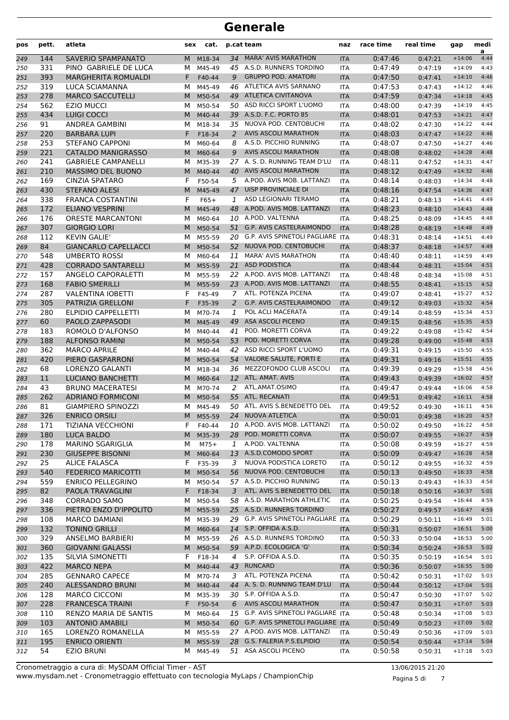| pos        | pett.      | atleta                                         | sex    | cat.               |          | p.cat team                                               | naz                      | race time          | real time          | gap                  | medi<br>a    |
|------------|------------|------------------------------------------------|--------|--------------------|----------|----------------------------------------------------------|--------------------------|--------------------|--------------------|----------------------|--------------|
| 249        | 144        | <b>SAVERIO SPAMPANATO</b>                      | M      | M18-34             | 34       | <b>MARA' AVIS MARATHON</b>                               | <b>ITA</b>               | 0:47:46            | 0:47:21            | $+14:06$             | 4:44         |
| 250        | 331        | PINO GABRIELE DE LUCA                          | м      | M45-49             |          | 45 A.S.D. RUNNERS TORDINO                                | <b>ITA</b>               | 0:47:49            | 0:47:19            | $+14:09$             | 4:43         |
| 251        | 393        | <b>MARGHERITA ROMUALDI</b>                     | F      | F40-44             | 9        | <b>GRUPPO POD. AMATORI</b>                               | <b>ITA</b>               | 0:47:50            | 0:47:41            | $+14:10$             | 4:46         |
| 252        | 319        | LUCA SCIAMANNA                                 | м      | M45-49             | 46       | ATLETICA AVIS SARNANO                                    | <b>ITA</b>               | 0:47:53            | 0:47:43            | $+14:12$             | 4:46         |
| 253        | 278        | <b>MARCO SACCUTELLI</b>                        | M      | M50-54             | 49       | <b>ATLETICA CIVITANOVA</b>                               | <b>ITA</b>               | 0:47:59            | 0:47:34            | $+14:18$             | 4:45         |
| 254        | 562        | <b>EZIO MUCCI</b>                              | м      | M50-54             |          | 50 ASD RICCI SPORT L'UOMO                                | <b>ITA</b>               | 0:48:00            | 0:47:39            | $+14:19$             | 4:45         |
| 255        | 434        | <b>LUIGI COCCI</b>                             | M      | M40-44             |          | 39 A.S.D. F.C. PORTO 85                                  | <b>ITA</b>               | 0:48:01            | 0:47:53            | $+14:21$             | 4:47         |
| 256        | 91         | <b>ANDREA GAMBINI</b>                          | м      | M18-34             |          | 35 NUOVA POD. CENTOBUCHI                                 | <b>ITA</b>               | 0:48:02            | 0:47:30            | $+14:22$             | 4:44         |
| 257        | 220<br>253 | <b>BARBARA LUPI</b><br><b>STEFANO CAPPONI</b>  | F      | F18-34             | 2<br>8   | <b>AVIS ASCOLI MARATHON</b><br>A.S.D. PICCHIO RUNNING    | <b>ITA</b>               | 0:48:03<br>0:48:07 | 0:47:47            | $+14:22$<br>$+14:27$ | 4:46<br>4:46 |
| 258<br>259 | 221        | <b>CATALDO MANIGRASSO</b>                      | М<br>M | M60-64<br>M60-64   | 9        | <b>AVIS ASCOLI MARATHON</b>                              | <b>ITA</b><br><b>ITA</b> | 0:48:08            | 0:47:50<br>0:48:02 | $+14:28$             | 4:48         |
| 260        | 241        | <b>GABRIELE CAMPANELLI</b>                     | м      | M35-39             | 27       | A. S. D. RUNNING TEAM D'LU                               | <b>ITA</b>               | 0:48:11            | 0:47:52            | $+14:31$             | 4:47         |
| 261        | 210        | MASSIMO DEL BUONO                              | M      | M40-44             | 40       | <b>AVIS ASCOLI MARATHON</b>                              | <b>ITA</b>               | 0:48:12            | 0:47:49            | $+14:32$             | 4:46         |
| 262        | 169        | <b>CINZIA SPATARO</b>                          | F      | F50-54             |          | 5 A.POD. AVIS MOB. LATTANZI                              | <b>ITA</b>               | 0:48:14            | 0:48:03            | $+14:34$             | 4:48         |
| 263        | 430        | <b>STEFANO ALESI</b>                           | M      | M45-49             | 47       | <b>UISP PROVINCIALE DI</b>                               | <b>ITA</b>               | 0:48:16            | 0:47:54            | $+14:36$             | 4:47         |
| 264        | 338        | <b>FRANCA COSTANTINI</b>                       | F      | $F65+$             | 1        | ASD LEGIONARI TERAMO                                     | <b>ITA</b>               | 0:48:21            | 0:48:13            | $+14:41$             | 4:49         |
| 265        | 172        | <b>ELIANO VESPRINI</b>                         | M      | M45-49             | 48       | A.POD. AVIS MOB. LATTANZI                                | <b>ITA</b>               | 0:48:23            | 0:48:10            | $+14:43$             | 4:48         |
| 266        | 176        | <b>ORESTE MARCANTONI</b>                       | м      | M60-64             |          | 10 A.POD. VALTENNA                                       | <b>ITA</b>               | 0:48:25            | 0:48:09            | $+14:45$             | 4:48         |
| 267        | 307        | <b>GIORGIO LORI</b>                            | M      | M50-54             | 51       | G.P. AVIS CASTELRAIMONDO                                 | <b>ITA</b>               | 0:48:28            | 0:48:19            | $+14:48$             | 4:49         |
| 268        | 112        | <b>KEVIN GALIE'</b>                            | м      | M55-59             |          | 20 G.P. AVIS SPINETOLI PAGLIARE ITA                      |                          | 0:48:31            | 0:48:14            | $+14:51$             | 4:49         |
| 269        | 84         | <b>GIANCARLO CAPELLACCI</b>                    | M      | M50-54             | 52       | NUOVA POD. CENTOBUCHI                                    | <b>ITA</b>               | 0:48:37            | 0:48:18            | $+14:57$             | 4:49         |
| 270        | 548        | <b>UMBERTO ROSSI</b>                           | м      | M60-64             | 11       | <b>MARA' AVIS MARATHON</b>                               | <b>ITA</b>               | 0:48:40            | 0:48:11            | $+14:59$             | 4:49         |
| 271        | 428        | <b>CORRADO SANTARELLI</b>                      | M      | M55-59             | 21       | <b>ASD PODISTICA</b>                                     | <b>ITA</b>               | 0:48:44            | 0:48:31            | $+15:04$             | 4:51         |
| 272        | 157        | ANGELO CAPORALETTI                             | м      | M55-59             | 22.      | A.POD. AVIS MOB. LATTANZI                                | <b>ITA</b>               | 0:48:48            | 0:48:34            | $+15:08$             | 4:51         |
| 273        | 168        | <b>FABIO SMERILLI</b>                          | M      | M55-59             |          | 23 A.POD. AVIS MOB. LATTANZI                             | <b>ITA</b>               | 0:48:55            | 0:48:41            | $+15:15$             | 4:52         |
| 274        | 287        | <b>VALENTINA IOBETTI</b>                       | F      | F45-49             | 7        | ATL. POTENZA PICENA                                      | <b>ITA</b>               | 0:49:07            | 0:48:41            | $+15:27$             | 4:52         |
| 275        | 305        | PATRIZIA GRELLONI                              | F      | F35-39             | 2        | <b>G.P. AVIS CASTELRAIMONDO</b>                          | <b>ITA</b>               | 0:49:12            | 0:49:03            | $+15:32$             | 4:54         |
| 276        | 280        | <b>ELPIDIO CAPPELLETTI</b>                     | м      | M70-74             | 1        | POL ACLI MACERATA                                        | <b>ITA</b>               | 0:49:14            | 0:48:59            | $+15:34$             | 4:53         |
| 277        | 60         | PAOLO ZAPPASODI                                | M      | M45-49             | 49       | <b>ASA ASCOLI PICENO</b>                                 | <b>ITA</b>               | 0:49:15            | 0:48:56            | $+15:35$             | 4:53         |
| 278        | 183        | ROMOLO D'ALFONSO                               | м      | M40-44             | 41<br>53 | POD. MORETTI CORVA<br>POD. MORETTI CORVA                 | <b>ITA</b>               | 0:49:22            | 0:49:08            | $+15:42$             | 4:54<br>4:53 |
| 279<br>280 | 188<br>362 | <b>ALFONSO RAMINI</b><br><b>MARCO APRILE</b>   | M<br>м | M50-54<br>M40-44   |          | 42 ASD RICCI SPORT L'UOMO                                | <b>ITA</b><br><b>ITA</b> | 0:49:28<br>0:49:31 | 0:49:00<br>0:49:15 | $+15:48$<br>$+15:50$ | 4:55         |
| 281        | 420        | PIERO GASPARRONI                               | M      | M50-54             |          | 54 VALORE SALUTE, FORTI E                                | <b>ITA</b>               | 0:49:31            | 0:49:16            | $+15:51$             | 4:55         |
| 282        | 68         | <b>LORENZO GALANTI</b>                         | м      | M18-34             | 36       | MEZZOFONDO CLUB ASCOLI                                   | <b>ITA</b>               | 0:49:39            | 0:49:29            | $+15:58$             | 4:56         |
| 283        | 11         | <b>LUCIANO BANCHETTI</b>                       | M      | M60-64             | 12       | ATL. AMAT. AVIS                                          | <b>ITA</b>               | 0:49:43            | 0:49:39            | $+16:02$             | 4:57         |
| 284        | 43         | <b>BRUNO MACERATESI</b>                        | м      | M70-74             | 2        | ATL.AMAT.OSIMO                                           | <b>ITA</b>               | 0:49:47            | 0:49:44            | $+16:06$             | 4:58         |
| 285        | 262        | <b>ADRIANO FORMICONI</b>                       | M      | M50-54             | 55       | ATL. RECANATI                                            | <b>ITA</b>               | 0:49:51            | 0:49:42            | $+16:11$             | 4:58         |
| 286        | 81         | <b>GIAMPIERO SPINOZZI</b>                      | м      | M45-49             | 50       | ATL. AVIS S.BENEDETTO DEL                                | <b>ITA</b>               | 0:49:52            | 0:49:30            | $+16:11$             | 4:56         |
| 287        | 326        | <b>ENRICO ORSILI</b>                           | M      | M55-59             | 24       | NUOVA ATLETICA                                           | <b>ITA</b>               | 0:50:01            | 0:49:38            | $+16:20$             | 4:57         |
| 288        | 171        | TIZIANA VECCHIONI                              | F.     | F40-44             |          | 10 A.POD. AVIS MOB. LATTANZI                             | ITA                      | 0:50:02            | 0:49:50            | $+16:22$             | 4:58         |
| 289        | 180        | LUCA BALDO                                     | M      | M35-39             | 28       | POD. MORETTI CORVA                                       | <b>ITA</b>               | 0:50:07            | 0:49:55            | $+16:27$             | 4:59         |
| 290        | 178        | <b>MARINO SGARIGLIA</b>                        | м      | $M75+$             | 1        | A.POD. VALTENNA                                          | ITA                      | 0:50:08            | 0:49:59            | $+16:27$             | 4:59         |
| 291        | 230        | <b>GIUSEPPE BISONNI</b>                        | M      | M60-64             | 13       | A.S.D.COMODO SPORT                                       | <b>ITA</b>               | 0:50:09            | 0:49:47            | $+16:28$             | 4:58         |
| 292        | 25         | <b>ALICE FALASCA</b>                           | F      | F35-39             | 3        | NUOVA PODISTICA LORETO                                   | ITA                      | 0:50:12            | 0:49:55            | $+16:32$             | 4:59         |
| 293        | 540        | <b>FEDERICO MARICOTTI</b>                      | M      | M50-54             | 56       | NUOVA POD. CENTOBUCHI                                    | <b>ITA</b>               | 0:50:13            | 0:49:50            | $+16:33$             | 4:58         |
| 294        | 559        | <b>ENRICO PELLEGRINO</b>                       | M      | M50-54             |          | 57 A.S.D. PICCHIO RUNNING                                | ITA                      | 0:50:13            | 0:49:43            | $+16:33$             | 4:58         |
| 295        | 82         | PAOLA TRAVAGLINI                               | F.     | F18-34             | 3        | ATL. AVIS S.BENEDETTO DEL                                | <b>ITA</b>               | 0:50:18            | 0:50:16            | $+16:37$             | 5:01         |
| 296        | 348        | <b>CORRADO SAMO</b>                            | M      | M50-54             |          | 58 A.S.D. MARATHON ATHLETIC<br>25 A.S.D. RUNNERS TORDINO | <b>ITA</b>               | 0:50:25            | 0:49:54            | $+16:44$             | 4:59         |
| 297        | 336        | PIETRO ENZO D'IPPOLITO<br><b>MARCO DAMIANI</b> |        | M M55-59           |          | 29 G.P. AVIS SPINETOLI PAGLIARE ITA                      | <b>ITA</b>               | 0:50:27            | 0:49:57            | $+16:47$             | 4:59<br>5:01 |
| 298        | 108<br>132 | <b>TONINO GRILLI</b>                           | м      | M35-39<br>M M60-64 |          | 14 S.P. OFFIDA A.S.D.                                    |                          | 0:50:29<br>0:50:31 | 0:50:11<br>0:50:07 | $+16:49$<br>$+16:51$ | 5:00         |
| 299<br>300 | 329        | ANSELMO BARBIERI                               | м      | M55-59             |          | 26 A.S.D. RUNNERS TORDINO                                | <b>ITA</b><br>ITA        | 0:50:33            | 0:50:04            | $+16:53$             | 5:00         |
| 301        | 360        | <b>GIOVANNI GALASSI</b>                        |        | M M50-54           |          | 59 A.P.D. ECOLOGICA 'G'                                  | <b>ITA</b>               | 0:50:34            | 0:50:24            | $+16:53$             | 5:02         |
| 302        | 135        | SILVIA SIMONETTI                               | F      | F18-34             | 4        | S.P. OFFIDA A.S.D.                                       | ITA                      | 0:50:35            | 0:50:19            | $+16:54$             | 5:01         |
| 303        | 422        | <b>MARCO NEPA</b>                              | M      | M40-44             |          | 43 RUNCARD                                               | <b>ITA</b>               | 0:50:36            | 0:50:07            | $+16:55$             | 5:00         |
| 304        | 285        | <b>GENNARO CAPECE</b>                          | м      | M70-74             | 3        | ATL. POTENZA PICENA                                      | ITA                      | 0:50:42            | 0:50:31            | $+17:02$             | 5:03         |
| 305        | 240        | <b>ALESSANDRO BRUNI</b>                        |        | M M40-44           |          | 44 A. S. D. RUNNING TEAM D'LU                            | <b>ITA</b>               | 0:50:44            | 0:50:12            | $+17:04$             | 5:01         |
| 306        | 128        | <b>MARCO CICCONI</b>                           | М      | M35-39             |          | 30 S.P. OFFIDA A.S.D.                                    | ITA                      | 0:50:47            | 0:50:30            | $+17:07$             | 5:02         |
| 307        | 228        | <b>FRANCESCA TRAINI</b>                        | F.     | F50-54             | 6        | <b>AVIS ASCOLI MARATHON</b>                              | <b>ITA</b>               | 0:50:47            | 0:50:31            | $+17:07$             | 5:03         |
| 308        | 110        | <b>RENZO MARIA DE SANTIS</b>                   | M      | M60-64             |          | 15 G.P. AVIS SPINETOLI PAGLIARE ITA                      |                          | 0:50:48            | 0:50:34            | $+17:08$             | 5:03         |
| 309        | 103        | <b>ANTONIO AMABILI</b>                         | M      | M50-54             |          | 60 G.P. AVIS SPINETOLI PAGLIARE ITA                      |                          | 0:50:49            | 0:50:23            | $+17:09$             | 5:02         |
| 310        | 165        | LORENZO ROMANELLA                              |        | M M55-59           |          | 27 A.POD. AVIS MOB. LATTANZI                             | <b>ITA</b>               | 0:50:49            | 0:50:36            | $+17:09$             | 5:03         |
| 311        | 195        | <b>ENRICO ORIENTI</b>                          | M      | M55-59             |          | 28 G.S. FALERIA P.S.ELPIDIO                              | <b>ITA</b>               | 0:50:54            | 0:50:44            | $+17:14$             | 5:04         |
| 312        | 54         | <b>EZIO BRUNI</b>                              |        | M M45-49           |          | 51 ASA ASCOLI PICENO                                     | ITA                      | 0:50:58            | 0:50:31            | $+17:18$             | 5:03         |

Pagina 5 di 7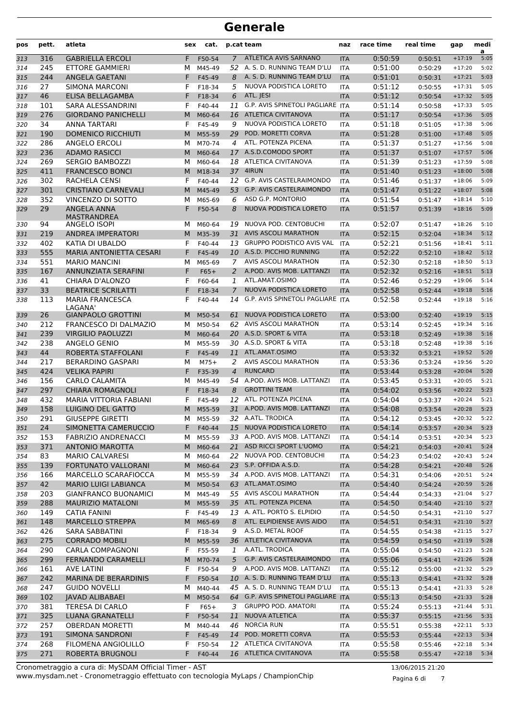| pos | pett. | atleta                            | sex | cat.     |                | p.cat team                          | naz        | race time | real time | gap      | medi<br>a |
|-----|-------|-----------------------------------|-----|----------|----------------|-------------------------------------|------------|-----------|-----------|----------|-----------|
| 313 | 316   | <b>GABRIELLA ERCOLI</b>           | F   | F50-54   | $\overline{7}$ | ATLETICA AVIS SARNANO               | <b>ITA</b> | 0:50:59   | 0:50:51   | $+17:19$ | 5:05      |
| 314 | 245   | ETTORE GAMMIERI                   | м   | M45-49   |                | 52 A. S. D. RUNNING TEAM D'LU       | <b>ITA</b> | 0:51:00   | 0:50:29   | $+17:20$ | 5:02      |
| 315 | 244   | ANGELA GAETANI                    | F   | F45-49   | 8              | A. S. D. RUNNING TEAM D'LU          | <b>ITA</b> | 0:51:01   | 0:50:31   | $+17:21$ | 5:03      |
| 316 | 27    | <b>SIMONA MARCONI</b>             | F   | F18-34   | 5              | NUOVA PODISTICA LORETO              | <b>ITA</b> | 0:51:12   | 0:50:55   | $+17:31$ | 5:05      |
| 317 | 46    | ELISA BELLAGAMBA                  | F   | F18-34   | 6              | ATL. JESI                           | <b>ITA</b> | 0:51:12   | 0:50:54   | $+17:32$ | 5:05      |
| 318 | 101   | SARA ALESSANDRINI                 | F   | F40-44   | 11             | G.P. AVIS SPINETOLI PAGLIARE ITA    |            | 0:51:14   | 0:50:58   | $+17:33$ | 5:05      |
| 319 | 276   | <b>GIORDANO PANICHELLI</b>        | M   | M60-64   | 16             | <b>ATLETICA CIVITANOVA</b>          | <b>ITA</b> | 0:51:17   | 0:50:54   | $+17:36$ | 5:05      |
| 320 | 34    | ANNA TARTARI                      | F   | F45-49   | 9              | NUOVA PODISTICA LORETO              | <b>ITA</b> | 0:51:18   | 0:51:05   | $+17:38$ | 5:06      |
| 321 | 190   | <b>DOMENICO RICCHIUTI</b>         | M   | M55-59   | 29             | POD. MORETTI CORVA                  | <b>ITA</b> | 0:51:28   | 0:51:00   | $+17:48$ | 5:05      |
| 322 | 286   | ANGELO ERCOLI                     | м   | M70-74   | 4              | ATL. POTENZA PICENA                 | <b>ITA</b> | 0:51:37   | 0:51:27   | $+17:56$ | 5:08      |
| 323 | 236   | <b>ADAMO RASICCI</b>              | M   | M60-64   | 17             | A.S.D.COMODO SPORT                  | <b>ITA</b> | 0:51:37   | 0:51:07   | $+17:57$ | 5:06      |
| 324 | 269   | <b>SERGIO BAMBOZZI</b>            | м   | M60-64   |                | 18 ATLETICA CIVITANOVA              | <b>ITA</b> | 0:51:39   | 0:51:23   | $+17:59$ | 5:08      |
| 325 | 411   | <b>FRANCESCO BONCI</b>            | M   | M18-34   | 37             | 4IRUN                               | <b>ITA</b> | 0:51:40   | 0:51:23   | $+18:00$ | 5:08      |
| 326 | 302   | RACHELA CENSI                     | F   | F40-44   |                | 12 G.P. AVIS CASTELRAIMONDO         | <b>ITA</b> | 0:51:46   | 0:51:37   | $+18:06$ | 5:09      |
| 327 | 301   | <b>CRISTIANO CARNEVALI</b>        | M   | M45-49   | 53             | <b>G.P. AVIS CASTELRAIMONDO</b>     | <b>ITA</b> | 0:51:47   | 0:51:22   | $+18:07$ | 5:08      |
| 328 | 352   | VINCENZO DI SOTTO                 | м   | M65-69   | 6              | ASD G.P. MONTORIO                   | <b>ITA</b> | 0:51:54   | 0:51:47   | $+18:14$ | 5:10      |
| 329 | 29    | ANGELA ANNA<br><b>MASTRANDREA</b> | F   | F50-54   | 8              | <b>NUOVA PODISTICA LORETO</b>       | <b>ITA</b> | 0:51:57   | 0:51:39   | $+18:16$ | 5:09      |
| 330 | 94    | <b>ANGELO ISOPI</b>               | м   | M60-64   | 19             | NUOVA POD. CENTOBUCHI               | <b>ITA</b> | 0:52:07   | 0:51:47   | $+18:26$ | 5:10      |
| 331 | 219   | ANDREA IMPERATORI                 | M   | M35-39   | 31             | <b>AVIS ASCOLI MARATHON</b>         | <b>ITA</b> | 0:52:15   | 0:52:04   | $+18:34$ | 5:12      |
| 332 | 402   | KATIA DI UBALDO                   | F   | F40-44   | 13             | <b>GRUPPO PODISTICO AVIS VAL</b>    | <b>ITA</b> | 0:52:21   | 0:51:56   | $+18:41$ | 5:11      |
| 333 | 555   | <b>MARIA ANTONIETTA CESARI</b>    | F   | F45-49   |                | 10 A.S.D. PICCHIO RUNNING           | <b>ITA</b> | 0:52:22   | 0:52:10   | $+18:42$ | 5:12      |
| 334 | 551   | <b>MARIO MANCINI</b>              | м   | M65-69   | $\overline{7}$ | AVIS ASCOLI MARATHON                | <b>ITA</b> | 0:52:30   | 0:52:18   | $+18:50$ | 5:13      |
| 335 | 167   | ANNUNZIATA SERAFINI               | F   | $F65+$   | $\overline{2}$ | A.POD. AVIS MOB. LATTANZI           | <b>ITA</b> | 0:52:32   | 0:52:16   | $+18:51$ | 5:13      |
| 336 | 41    | CHIARA D'ALONZO                   | F   | F60-64   | 1              | ATL.AMAT.OSIMO                      | <b>ITA</b> | 0:52:46   | 0:52:29   | $+19:06$ | 5:14      |
| 337 | 33    | <b>BEATRICE SCRILATTI</b>         | F   | F18-34   | $\overline{7}$ | NUOVA PODISTICA LORETO              | <b>ITA</b> | 0:52:58   | 0:52:44   | $+19:18$ | 5:16      |
| 338 | 113   | <b>MARIA FRANCESCA</b><br>LAGANA' | F   | F40-44   | 14             | G.P. AVIS SPINETOLI PAGLIARE ITA    |            | 0:52:58   | 0:52:44   | $+19:18$ | 5:16      |
| 339 | 26    | <b>GIANPAOLO GROTTINI</b>         | M   | M50-54   | 61             | NUOVA PODISTICA LORETO              | <b>ITA</b> | 0:53:00   | 0:52:40   | $+19:19$ | 5:15      |
| 340 | 212   | FRANCESCO DI DALMAZIO             | м   | M50-54   |                | 62 AVIS ASCOLI MARATHON             | <b>ITA</b> | 0:53:14   | 0:52:45   | $+19:34$ | 5:16      |
| 341 | 239   | <b>VIRGILIO PAOLUZZI</b>          | M   | M60-64   |                | 20 A.S.D. SPORT & VITA              | <b>ITA</b> | 0:53:18   | 0:52:49   | $+19:38$ | 5:16      |
| 342 | 238   | ANGELO GENIO                      | м   | M55-59   |                | 30 A.S.D. SPORT & VITA              | <b>ITA</b> | 0:53:18   | 0:52:48   | $+19:38$ | 5:16      |
| 343 | 44    | ROBERTA STAFFOLANI                | F   | F45-49   | 11             | ATL.AMAT.OSIMO                      | <b>ITA</b> | 0:53:32   | 0:53:21   | $+19:52$ | 5:20      |
| 344 | 217   | <b>BERARDINO GASPARI</b>          | м   | $M75+$   | 2              | AVIS ASCOLI MARATHON                | <b>ITA</b> | 0:53:36   | 0:53:24   | $+19:56$ | 5:20      |
| 345 | 424   | <b>VELIKA PAPIRI</b>              | F   | F35-39   | $\overline{4}$ | <b>RUNCARD</b>                      | <b>ITA</b> | 0:53:44   | 0:53:28   | $+20:04$ | 5:20      |
| 346 | 156   | <b>CARLO CALAMITA</b>             | м   | M45-49   |                | 54 A.POD. AVIS MOB. LATTANZI        | ITA        | 0:53:45   | 0:53:31   | $+20:05$ | 5:21      |
| 347 | 297   | <b>CHIARA ROMAGNOLI</b>           | F   | F18-34   | 8              | <b>GROTTINI TEAM</b>                | <b>ITA</b> | 0:54:02   | 0:53:56   | $+20:22$ | 5:23      |
| 348 | 432   | MARIA VITTORIA FABIANI            | F   | F45-49   | 12             | ATL. POTENZA PICENA                 | <b>ITA</b> | 0:54:04   | 0:53:37   | $+20:24$ | 5:21      |
| 349 | 158   | <b>LUIGINO DEL GATTO</b>          | M   | M55-59   |                | 31 A.POD. AVIS MOB. LATTANZI        | <b>ITA</b> | 0:54:08   | 0:53:54   | $+20:28$ | 5:23      |
| 350 | 291   | <b>GIUSEPPE GIRETTI</b>           | м   | M55-59   |                | 32 A.ATL. TRODICA                   | <b>ITA</b> | 0:54:12   | 0:53:45   | $+20:32$ | 5:22      |
| 351 | 24    | SIMONETTA CAMERUCCIO              | F.  | F40-44   | 15             | NUOVA PODISTICA LORETO              | <b>ITA</b> | 0:54:14   | 0:53:57   | $+20:34$ | 5:23      |
| 352 | 153   | <b>FABRIZIO ANDRENACCI</b>        | м   | M55-59   |                | 33 A.POD. AVIS MOB. LATTANZI        | <b>ITA</b> | 0:54:14   | 0:53:51   | $+20:34$ | 5:23      |
| 353 | 371   | <b>ANTONIO MAROTTA</b>            | M   | M60-64   |                | 21 ASD RICCI SPORT L'UOMO           | <b>ITA</b> | 0:54:21   | 0:54:03   | $+20:41$ | 5:24      |
| 354 | 83    | <b>MARIO CALVARESI</b>            | м   | M60-64   | 22             | NUOVA POD. CENTOBUCHI               | ITA        | 0:54:23   | 0:54:02   | $+20:43$ | 5:24      |
| 355 | 139   | <b>FORTUNATO VALLORANI</b>        |     | M M60-64 |                | 23 S.P. OFFIDA A.S.D.               | <b>ITA</b> | 0:54:28   | 0:54:21   | $+20:48$ | 5:26      |
| 356 | 166   | MARCELLO SCARAFIOCCA              | M   | M55-59   |                | 34 A.POD. AVIS MOB. LATTANZI        | <b>ITA</b> | 0:54:31   | 0:54:06   | $+20:51$ | 5:24      |
| 357 | 42    | <b>MARIO LUIGI LABIANCA</b>       | M   | M50-54   |                | 63 ATL.AMAT.OSIMO                   | <b>ITA</b> | 0:54:40   | 0:54:24   | $+20:59$ | 5:26      |
| 358 | 203   | <b>GIANFRANCO BUONAMICI</b>       | м   | M45-49   |                | 55 AVIS ASCOLI MARATHON             | <b>ITA</b> | 0:54:44   | 0:54:33   | $+21:04$ | 5:27      |
| 359 | 288   | <b>MAURIZIO MATALONI</b>          | M   | M55-59   |                | 35 ATL. POTENZA PICENA              | <b>ITA</b> | 0:54:50   | 0:54:40   | $+21:10$ | 5:27      |
| 360 | 149   | <b>CATIA FANINI</b>               | F   | F45-49   |                | 13 A. ATL. PORTO S. ELPIDIO         | ITA        | 0:54:50   | 0:54:31   | $+21:10$ | 5:27      |
| 361 | 148   | <b>MARCELLO STREPPA</b>           | M   | M65-69   | 8              | ATL. ELPIDIENSE AVIS AIDO           | <b>ITA</b> | 0:54:51   | 0:54:31   | $+21:10$ | 5:27      |
| 362 | 426   | SARA SABBATINI                    | F   | F18-34   | 9              | A.S.D. METAL ROOF                   | ITA        | 0:54:55   | 0:54:38   | $+21:15$ | 5:27      |
| 363 | 275   | <b>CORRADO MOBILI</b>             | M   | M55-59   |                | 36 ATLETICA CIVITANOVA              | <b>ITA</b> | 0:54:59   | 0:54:50   | $+21:19$ | 5:28      |
| 364 | 290   | <b>CARLA COMPAGNONI</b>           | F   | F55-59   | 1              | A.ATL. TRODICA                      | ITA        | 0:55:04   | 0:54:50   | $+21:23$ | 5:28      |
| 365 | 299   | <b>FERNANDO CARAMELLI</b>         | M   | M70-74   | 5              | G.P. AVIS CASTELRAIMONDO            | <b>ITA</b> | 0:55:06   | 0:54:41   | $+21:26$ | 5:28      |
| 366 | 161   | <b>AVE LATINI</b>                 | F   | F50-54   | 9              | A.POD. AVIS MOB. LATTANZI           | ITA        | 0:55:12   | 0:55:00   | $+21:32$ | 5:29      |
| 367 | 242   | <b>MARINA DE BERARDINIS</b>       | F   | F50-54   |                | 10 A. S. D. RUNNING TEAM D'LU       | <b>ITA</b> | 0:55:13   | 0:54:41   | $+21:32$ | 5:28      |
| 368 | 247   | <b>GUIDO NOVELLI</b>              | м   | M40-44   |                | 45 A. S. D. RUNNING TEAM D'LU       | <b>ITA</b> | 0:55:13   | 0:54:41   | $+21:33$ | 5:28      |
| 369 | 102   | <b>JAVAD ALIBABAEI</b>            | M   | M50-54   |                | 64 G.P. AVIS SPINETOLI PAGLIARE ITA |            | 0:55:13   | 0:54:50   | $+21:33$ | 5:28      |
| 370 | 381   | TERESA DI CARLO                   | F   | $F65+$   | 3              | <b>GRUPPO POD. AMATORI</b>          | ITA        | 0:55:24   | 0:55:13   | $+21:44$ | 5:31      |
| 371 | 325   | LUANA GRANATELLI                  | F.  | F50-54   | 11             | NUOVA ATLETICA                      | <b>ITA</b> | 0:55:37   | 0:55:15   | $+21:56$ | 5:31      |
| 372 | 257   | <b>OBERDAN MORETTI</b>            | м   | M40-44   | 46             | <b>NORCIA RUN</b>                   | ITA        | 0:55:51   | 0:55:38   | $+22:11$ | 5:33      |
| 373 | 191   | <b>SIMONA SANDRONI</b>            | F.  | F45-49   | 14             | POD. MORETTI CORVA                  | <b>ITA</b> | 0:55:53   | 0:55:44   | $+22:13$ | 5:34      |
| 374 | 268   | FILOMENA ANGIOLILLO               | F   | F50-54   |                | 12 ATLETICA CIVITANOVA              | ITA        | 0:55:58   | 0:55:46   | $+22:18$ | 5:34      |
| 375 | 271   | ROBERTA BRUGNOLI                  | F.  | F40-44   |                | 16 ATLETICA CIVITANOVA              | <b>ITA</b> | 0:55:58   | 0:55:47   | $+22:18$ | 5:34      |
|     |       |                                   |     |          |                |                                     |            |           |           |          |           |

Pagina 6 di 7